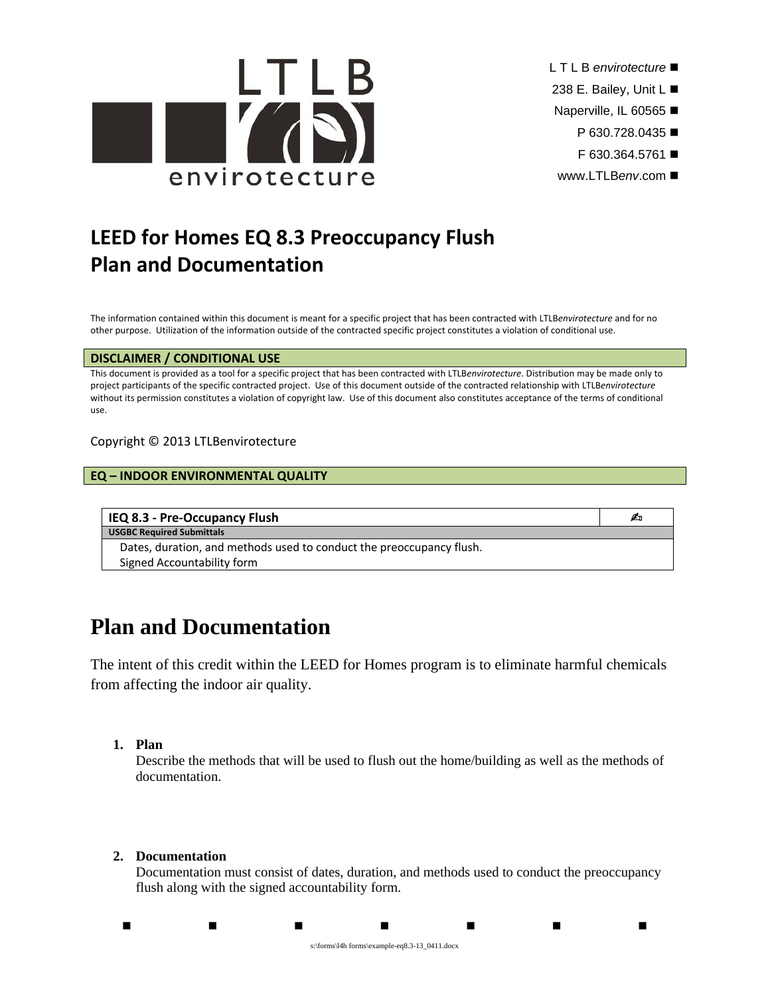

- L T L B *envirotecture*
- 238 E. Bailey, Unit L
- Naperville, IL 60565
	- P 630.728.0435 ■
	- F 630.364.5761
- www.LTLB*env*.com

# **LEED for Homes EQ 8.3 Preoccupancy Flush Plan and Documentation**

The information contained within this document is meant for a specific project that has been contracted with LTLB*envirotecture* and for no other purpose. Utilization of the information outside of the contracted specific project constitutes a violation of conditional use.

#### **DISCLAIMER / CONDITIONAL USE**

This document is provided as a tool for a specific project that has been contracted with LTLB*envirotecture*. Distribution may be made only to project participants of the specific contracted project. Use of this document outside of the contracted relationship with LTLB*envirotecture* without its permission constitutes a violation of copyright law. Use of this document also constitutes acceptance of the terms of conditional use.

Copyright © 2013 LTLBenvirotecture

### **EQ – INDOOR ENVIRONMENTAL QUALITY**

### **IEQ 8.3 ‐ Pre‐Occupancy Flush** -

**USGBC Required Submittals**

Dates, duration, and methods used to conduct the preoccupancy flush. Signed Accountability form

# **Plan and Documentation**

The intent of this credit within the LEED for Homes program is to eliminate harmful chemicals from affecting the indoor air quality.

### **1. Plan**

Describe the methods that will be used to flush out the home/building as well as the methods of documentation.

## **2. Documentation**

Documentation must consist of dates, duration, and methods used to conduct the preoccupancy flush along with the signed accountability form.

. . . . . . . . s:\forms\l4h forms\example-eq8.3-13\_0411.docx